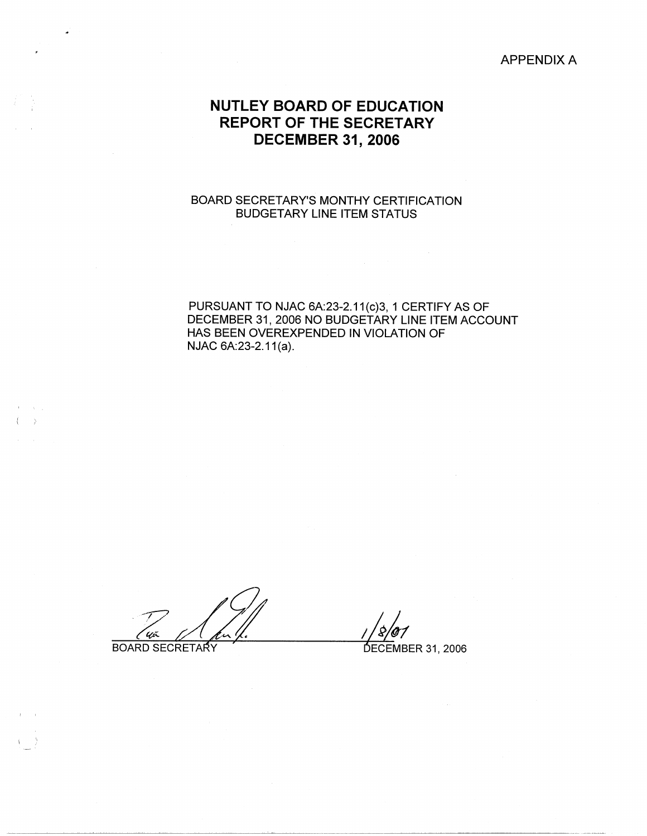APPENDIX A

# **NUTLEY BOARD OF EDUCATION REPORT OF THE SECRETARY DECEMBER 31, 2006**

## BOARD SECRETARY'S MONTHY CERTIFICATION BUDGETARY LINE ITEM STATUS

PURSUANT TO NJAC 6A:23-2.11(c)3, 1 CERTIFY AS OF DECEMBER 31, 2006 NO BUDGETARY LINE ITEM ACCOUNT HAS BEEN OVEREXPENDED IN VIOLATION OF NJAC 6A:23-2.11(a).

**BOARD SECRETARY** 

 $\left( \begin{array}{cc} 1 & 1 \end{array} \right)$ 

**College** 

 $\cup$  ,  $\bot$ 

DECEMBER 31, 2006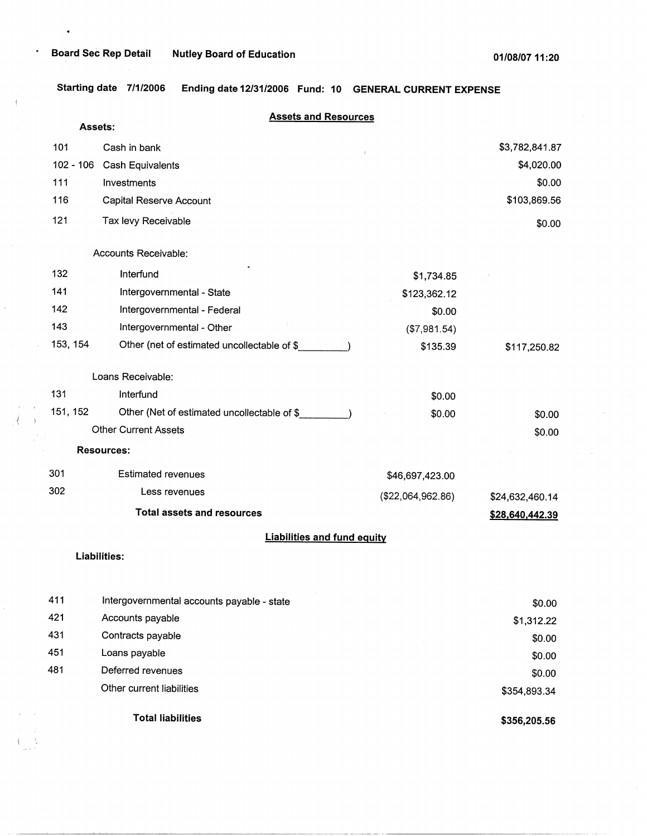$\bullet$ 

.

 $\mathfrak{t}$ 

**Starting date 7/1/2006 Ending date 12/31/2006 Fund: 10 GENERAL CURRENT EXPENSE** 

|     | <b>Assets:</b> | <b>Assets and Resources</b>                 |                   |                 |
|-----|----------------|---------------------------------------------|-------------------|-----------------|
| 101 |                | Cash in bank                                |                   | \$3,782,841.87  |
|     | $102 - 106$    | <b>Cash Equivalents</b>                     |                   | \$4,020.00      |
| 111 |                | Investments                                 |                   | \$0.00          |
| 116 |                | Capital Reserve Account                     |                   | \$103,869.56    |
| 121 |                | Tax levy Receivable                         |                   | \$0.00          |
|     |                | Accounts Receivable:                        |                   |                 |
| 132 |                | Interfund                                   | \$1,734.85        |                 |
| 141 |                | Intergovernmental - State                   | \$123,362.12      |                 |
| 142 |                | Intergovernmental - Federal                 | \$0.00            |                 |
| 143 |                | Intergovernmental - Other                   | (\$7,981.54)      |                 |
|     | 153, 154       | Other (net of estimated uncollectable of \$ | \$135.39          | \$117,250.82    |
|     |                | Loans Receivable:                           |                   |                 |
| 131 |                | Interfund                                   | \$0.00            |                 |
|     | 151, 152       | Other (Net of estimated uncollectable of \$ | \$0.00            | \$0.00          |
|     |                | <b>Other Current Assets</b>                 |                   | \$0.00          |
|     |                | <b>Resources:</b>                           |                   |                 |
| 301 |                | <b>Estimated revenues</b>                   | \$46,697,423.00   |                 |
| 302 |                | Less revenues                               | (\$22,064,962.86) | \$24,632,460.14 |
|     |                | <b>Total assets and resources</b>           |                   | \$28,640,442.39 |
|     |                | <b>Liabilities and fund equity</b>          |                   |                 |
|     |                | Liabilities:                                |                   |                 |
| 411 |                | Intergovernmental accounts payable - state  |                   | \$0.00          |
| 421 |                | Accounts payable                            |                   | \$1,312.22      |
| 431 |                | Contracts payable                           |                   | \$0.00          |
| 451 |                | Loans payable                               |                   | \$0.00          |
| 481 |                | Deferred revenues                           |                   | \$0.00          |
|     |                | Other current liabilities                   |                   | \$354,893.34    |
|     |                | <b>Total liabilities</b>                    |                   | \$356,205.56    |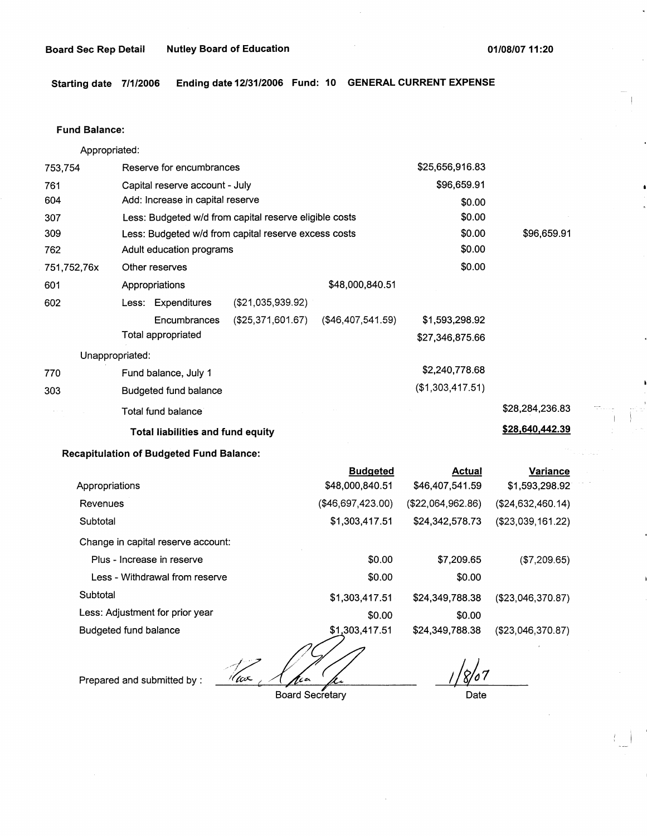**Starting date 7/1/2006 Ending date 12/31/2006 Fund: 10 GENERAL CURRENT EXPENSE** 

#### **Fund Balance:**

753,754 761 604 307 309 Appropriated: Reserve for encumbrances Capital reserve account - July Add: Increase in capital reserve Less: Budgeted w/d from capital reserve eligible costs Less: Budgeted w/d from capital reserve excess costs \$25,656,916.83 \$96,659.91 \$0.00 \$0.00 \$0.00 \$96,659.91 762 751,752,76x 601 Adult education programs  $$0.00$ Other reserves \$0.00 Appropriations 602 Less: Expenditures (\$21,035,939.92) Encumbrances (\$25,371,601.67) Total appropriated Unappropriated: 770 Fund balance, July 1 303 Budgeted fund balance Total fund balance **Total liabilities and fund equity**  \$48,000,840.51 (\$46,407,541.59) \$1,593,298.92 \$27,346,875.66 \$2,240,778.68 (\$1,303,417.51) \$28,284,236.83 **\$28,640,442.39** 

### **Recapitulation of Budgeted Fund Balance:**

|                                    | <b>Budgeted</b>   | <b>Actual</b>     | Variance           |
|------------------------------------|-------------------|-------------------|--------------------|
| Appropriations                     | \$48,000,840.51   | \$46,407,541.59   | \$1,593,298.92     |
| Revenues                           | (\$46,697,423.00) | (\$22,064,962.86) | (\$24,632,460.14)  |
| Subtotal                           | \$1,303,417.51    | \$24,342,578.73   | (\$23,039,161.22)  |
| Change in capital reserve account: |                   |                   |                    |
| Plus - Increase in reserve         | \$0.00            | \$7,209.65        | (\$7,209.65)       |
| Less - Withdrawal from reserve     | \$0.00            | \$0.00            |                    |
| Subtotal                           | \$1,303,417.51    | \$24,349,788.38   | (\$23,046,370.87)  |
| Less: Adjustment for prior year    | \$0.00            | \$0.00            |                    |
| Budgeted fund balance              | \$1,303,417.51    | \$24,349,788.38   | ( \$23.046.370.87) |
|                                    | ∽                 |                   |                    |

'(ax Board Secretary

Prepared and submitted by :

8/07

Date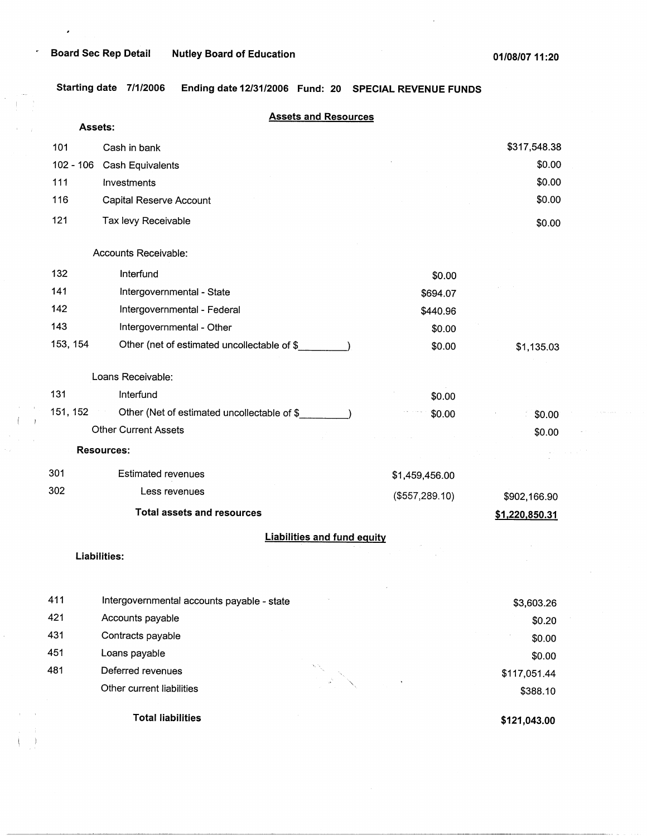$\pmb{\cdot}$ 

 $\hat{\mathbf{r}}$ 

**Starting date 7/1/2006 Ending date 12/31/2006 Fund: 20 SPECIAL REVENUE FUNDS** 

|          |             | <b>Assets and Resources</b>                         |                |                |
|----------|-------------|-----------------------------------------------------|----------------|----------------|
|          | Assets:     |                                                     |                |                |
| 101      |             | Cash in bank                                        |                | \$317,548.38   |
|          | $102 - 106$ | Cash Equivalents                                    |                | \$0.00         |
| 111      |             | Investments                                         |                | \$0.00         |
| 116      |             | Capital Reserve Account                             |                | \$0.00         |
| 121      |             | Tax levy Receivable                                 |                | \$0.00         |
|          |             | Accounts Receivable:                                |                |                |
| 132      |             | Interfund                                           | \$0.00         |                |
| 141      |             | Intergovernmental - State                           | \$694.07       |                |
| 142      |             | Intergovernmental - Federal                         | \$440.96       |                |
| 143      |             | Intergovernmental - Other                           | \$0.00         |                |
| 153, 154 |             | Other (net of estimated uncollectable of \$         | \$0.00         | \$1,135.03     |
|          |             | Loans Receivable:                                   |                |                |
| 131      |             | Interfund                                           | \$0.00         |                |
| 151, 152 |             | Other (Net of estimated uncollectable of \$<br>2010 | \$0.00         | \$0.00         |
|          |             | <b>Other Current Assets</b>                         |                | \$0.00         |
|          |             | <b>Resources:</b>                                   |                |                |
| 301      |             | <b>Estimated revenues</b>                           | \$1,459,456.00 |                |
| 302      |             | Less revenues                                       | (\$557,289.10) | \$902,166.90   |
|          |             | <b>Total assets and resources</b>                   |                | \$1,220,850.31 |
|          |             | <b>Liabilities and fund equity</b>                  |                |                |
|          |             | Liabilities:                                        |                |                |
| 411      |             | Intergovernmental accounts payable - state          |                | \$3,603.26     |
| 421      |             | Accounts payable                                    |                | \$0.20         |
| 431      |             | Contracts payable                                   |                | \$0.00         |
| 451      |             | Loans payable                                       |                | \$0.00         |
| 481      |             | Deferred revenues                                   |                | \$117,051.44   |
|          |             | Other current liabilities                           |                | \$388.10       |
|          |             | <b>Total liabilities</b>                            |                | \$121,043.00   |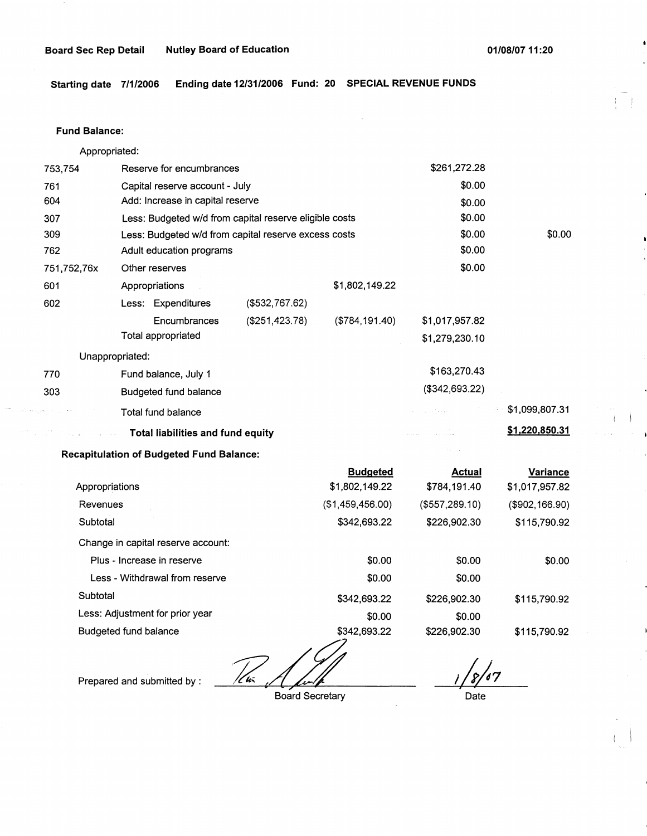**Starting date 7/1/2006 Ending date 12/31/2006 Fund: 20 SPECIAL REVENUE FUNDS** 

#### **Fund Balance:**

Appropriated:

| 753,754          | Reserve for encumbrances                               |                |                | \$261,272.28                                                                                                                                                                                                                                                                                                                                                                                                                                   |                |
|------------------|--------------------------------------------------------|----------------|----------------|------------------------------------------------------------------------------------------------------------------------------------------------------------------------------------------------------------------------------------------------------------------------------------------------------------------------------------------------------------------------------------------------------------------------------------------------|----------------|
| 761              | Capital reserve account - July                         |                |                | \$0.00                                                                                                                                                                                                                                                                                                                                                                                                                                         |                |
| 604              | Add: Increase in capital reserve                       |                |                | \$0.00                                                                                                                                                                                                                                                                                                                                                                                                                                         |                |
| 307              | Less: Budgeted w/d from capital reserve eligible costs |                |                | \$0.00                                                                                                                                                                                                                                                                                                                                                                                                                                         |                |
| 309              | Less: Budgeted w/d from capital reserve excess costs   |                |                | \$0.00                                                                                                                                                                                                                                                                                                                                                                                                                                         | \$0.00         |
| 762              | Adult education programs                               |                |                | \$0.00                                                                                                                                                                                                                                                                                                                                                                                                                                         |                |
| 751,752,76x      | Other reserves                                         |                |                | \$0.00                                                                                                                                                                                                                                                                                                                                                                                                                                         |                |
| 601              | Appropriations                                         |                | \$1,802,149.22 |                                                                                                                                                                                                                                                                                                                                                                                                                                                |                |
| 602              | Less: Expenditures                                     | (\$532,767.62) |                |                                                                                                                                                                                                                                                                                                                                                                                                                                                |                |
|                  | Encumbrances                                           | (\$251,423.78) | (\$784,191.40) | \$1,017,957.82                                                                                                                                                                                                                                                                                                                                                                                                                                 |                |
|                  | Total appropriated                                     |                |                | \$1,279,230.10                                                                                                                                                                                                                                                                                                                                                                                                                                 |                |
|                  | Unappropriated:                                        |                |                |                                                                                                                                                                                                                                                                                                                                                                                                                                                |                |
| 770              | Fund balance, July 1                                   |                |                | \$163,270.43                                                                                                                                                                                                                                                                                                                                                                                                                                   |                |
| 303              | Budgeted fund balance                                  |                |                | (\$342,693.22)                                                                                                                                                                                                                                                                                                                                                                                                                                 |                |
| التعديل بعدوالطم | Total fund balance                                     |                |                | $\mathcal{L}^{\mathcal{L}}(\mathcal{L}^{\mathcal{L}}(\mathcal{L}^{\mathcal{L}}(\mathcal{L}^{\mathcal{L}}_{\mathcal{L}^{\mathcal{L}}(\mathcal{L}^{\mathcal{L}}_{\mathcal{L}^{\mathcal{L}}_{\mathcal{L}^{\mathcal{L}}_{\mathcal{L}^{\mathcal{L}}_{\mathcal{L}^{\mathcal{L}}_{\mathcal{L}^{\mathcal{L}}_{\mathcal{L}^{\mathcal{L}}_{\mathcal{L}^{\mathcal{L}}_{\mathcal{L}^{\mathcal{L}}_{\mathcal{L}^{\mathcal{L}}_{\mathcal{L}^{\mathcal{L}}_{$ | \$1,099,807.31 |
|                  | <b>Example 20 Total liabilities and fund equity</b>    |                |                | المعاملة المستقبلة.<br>القديم المستقبلة                                                                                                                                                                                                                                                                                                                                                                                                        | \$1,220,850.31 |
|                  | <b>Recapitulation of Budgeted Fund Balance:</b>        |                |                | $\mathcal{O}(n)$ , where $\mathcal{O}(n)$                                                                                                                                                                                                                                                                                                                                                                                                      |                |

|                                    | <b>Budgeted</b>    | Actual         | Variance          |
|------------------------------------|--------------------|----------------|-------------------|
| Appropriations                     | \$1,802,149.22     | \$784,191.40   | \$1,017,957.82    |
| Revenues                           | (\$1,459,456,00)   | (\$557,289.10) | $($ \$902,166.90) |
| Subtotal                           | \$342,693.22       | \$226,902.30   | \$115,790.92      |
| Change in capital reserve account: |                    |                |                   |
| Plus - Increase in reserve         | \$0.00             | \$0.00         | \$0.00            |
| Less - Withdrawal from reserve     | \$0.00             | \$0.00         |                   |
| Subtotal                           | \$342,693.22       | \$226,902.30   | \$115,790.92      |
| Less: Adjustment for prior year    | \$0.00             | \$0.00         |                   |
| Budgeted fund balance              | \$342,693.22<br>ーフ | \$226,902.30   | \$115,790.92      |

Prepared and submitted by : *12/£* 

Board Secretary

*16/,7* , Date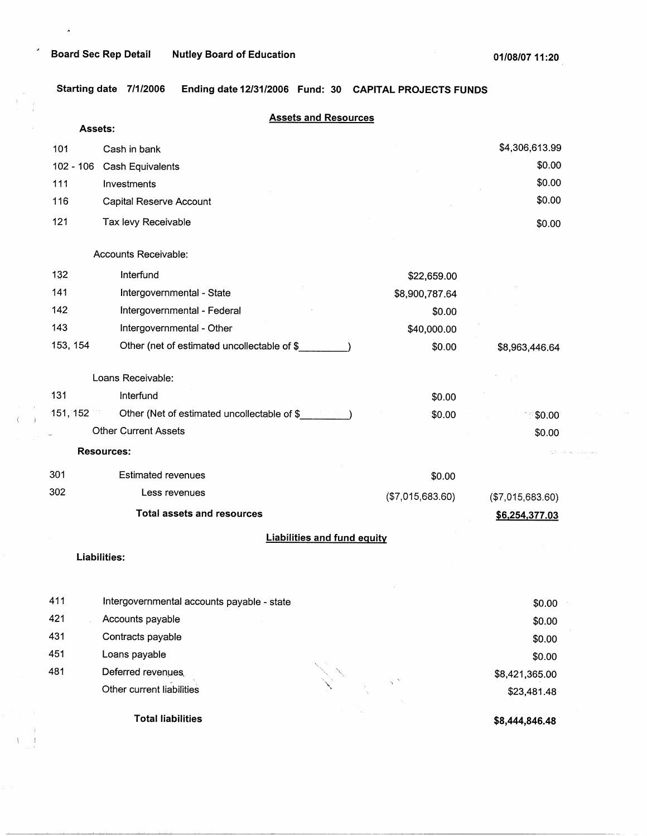$\hat{\boldsymbol{\sigma}}$ 

J

 $\left($  $\mathbf{I}$ 

 $\overline{1}$ 

**Total liabilities** 

**Starting date 7/1/2006 Ending date 12/31/2006 Fund: 30 CAPITAL PROJECTS FUNDS** 

|             | <b>Assets and Resources</b><br>Assets:      |                  |                  |
|-------------|---------------------------------------------|------------------|------------------|
| 101         | Cash in bank                                |                  | \$4,306,613.99   |
| $102 - 106$ | Cash Equivalents                            |                  | \$0.00           |
| 111         | Investments                                 |                  | \$0.00           |
| 116         | Capital Reserve Account                     |                  | \$0.00           |
| 121         | Tax levy Receivable                         |                  | \$0.00           |
|             | Accounts Receivable:                        |                  |                  |
| 132         | Interfund                                   | \$22,659.00      |                  |
| 141         | Intergovernmental - State                   | \$8,900,787.64   |                  |
| 142         | Intergovernmental - Federal                 | \$0.00           |                  |
| 143         | Intergovernmental - Other                   | \$40,000.00      |                  |
| 153, 154    | Other (net of estimated uncollectable of \$ | \$0.00           | \$8,963,446.64   |
|             | Loans Receivable:                           |                  |                  |
| 131         | Interfund                                   | \$0.00           |                  |
| 151, 152    | Other (Net of estimated uncollectable of \$ | \$0.00           | \$0.00           |
|             | <b>Other Current Assets</b>                 |                  | \$0.00           |
|             | <b>Resources:</b>                           |                  |                  |
| 301         | <b>Estimated revenues</b>                   | \$0.00           |                  |
| 302         | Less revenues                               | (\$7,015,683.60) | (\$7,015,683.60) |
|             | <b>Total assets and resources</b>           |                  | \$6,254,377.03   |
|             | <b>Liabilities and fund equity</b>          |                  |                  |
|             | Liabilities:                                |                  |                  |
|             |                                             |                  |                  |
| 411         | Intergovernmental accounts payable - state  |                  | \$0.00           |
| 421         | Accounts payable                            |                  | \$0.00           |
| 431         | Contracts payable                           |                  | \$0.00           |
| 451         | Loans payable                               |                  | \$0.00           |
| 481         | Deferred revenues                           |                  | \$8,421,365.00   |
|             | Other current liabilities                   |                  | \$23,481.48      |

**\$8,444,846.48**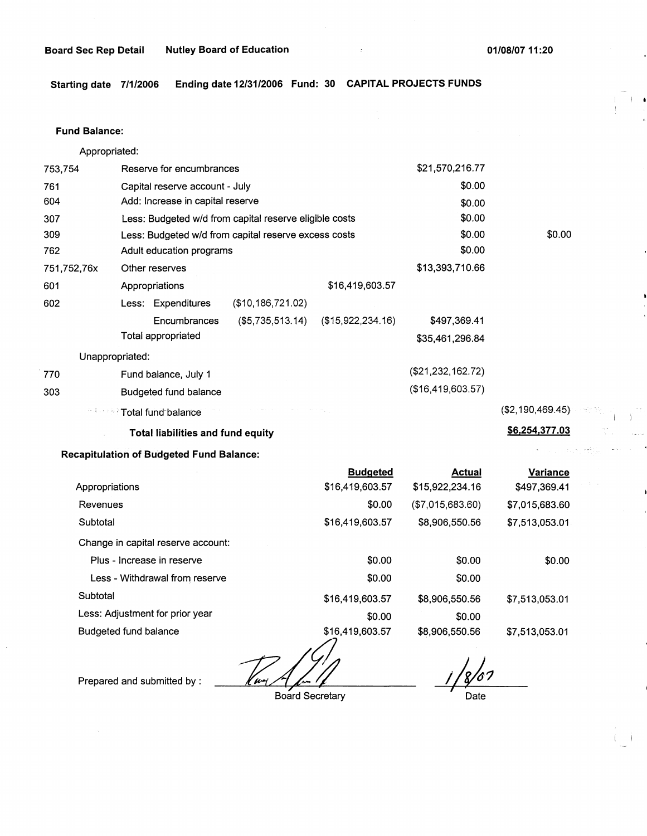$\mathbf{I}$ 

 $\frac{1}{2}$  ,  $\frac{1}{2}$ 

**Starting date 7/1/2006 Ending date 12/31/2006 Fund: 30 CAPITAL PROJECTS FUNDS** 

## **Fund Balance:**

Appropriated:

| 753,754         |                                | Reserve for encumbrances                 |                                                        |                   | \$21,570,216.77   |                  |
|-----------------|--------------------------------|------------------------------------------|--------------------------------------------------------|-------------------|-------------------|------------------|
| 761             | Capital reserve account - July |                                          |                                                        | \$0.00            |                   |                  |
| 604             |                                | Add: Increase in capital reserve         |                                                        |                   | \$0.00            |                  |
| 307             |                                |                                          | Less: Budgeted w/d from capital reserve eligible costs |                   | \$0.00            |                  |
| 309             |                                |                                          | Less: Budgeted w/d from capital reserve excess costs   |                   | \$0.00            | \$0.00           |
| 762             |                                | Adult education programs                 |                                                        |                   | \$0.00            |                  |
| 751,752,76x     | Other reserves                 |                                          |                                                        |                   | \$13,393,710.66   |                  |
| 601             | Appropriations                 |                                          |                                                        | \$16,419,603.57   |                   |                  |
| 602             |                                | Less: Expenditures                       | (\$10,186,721.02)                                      |                   |                   |                  |
|                 |                                | Encumbrances                             | (\$5,735,513.14)                                       | (\$15,922,234.16) | \$497,369.41      |                  |
|                 |                                | Total appropriated                       |                                                        |                   | \$35,461,296.84   |                  |
| Unappropriated: |                                |                                          |                                                        |                   |                   |                  |
| 770             |                                | Fund balance, July 1                     |                                                        |                   | (\$21,232,162.72) |                  |
| 303             |                                | Budgeted fund balance                    |                                                        |                   | (\$16,419,603.57) |                  |
|                 |                                | <b>Example 25 Total fund balance</b>     |                                                        |                   |                   | (\$2,190,469.45) |
|                 |                                | <b>Total liabilities and fund equity</b> |                                                        |                   |                   | \$6,254,377.03   |

**Recapitulation of Budgeted Fund Balance:** 

|                                    | <b>Budgeted</b> | <b>Actual</b>    | <b>Variance</b> |
|------------------------------------|-----------------|------------------|-----------------|
| Appropriations                     | \$16,419,603.57 | \$15,922,234.16  | \$497,369.41    |
| Revenues                           | \$0.00          | (\$7,015,683.60) | \$7,015,683.60  |
| Subtotal                           | \$16,419,603.57 | \$8,906,550.56   | \$7,513,053.01  |
| Change in capital reserve account: |                 |                  |                 |
| Plus - Increase in reserve         | \$0.00          | \$0.00           | \$0.00          |
| Less - Withdrawal from reserve     | \$0.00          | \$0.00           |                 |
| Subtotal                           | \$16,419,603.57 | \$8,906,550.56   | \$7,513,053.01  |
| Less: Adjustment for prior year    | \$0.00          | \$0.00           |                 |
| Budgeted fund balance              | \$16,419,603.57 | \$8,906,550.56   | \$7,513,053.01  |

Prepared and submitted by :

 $\cdot$ 

*-zd* Board Secretary

1/8/07 *I*  Date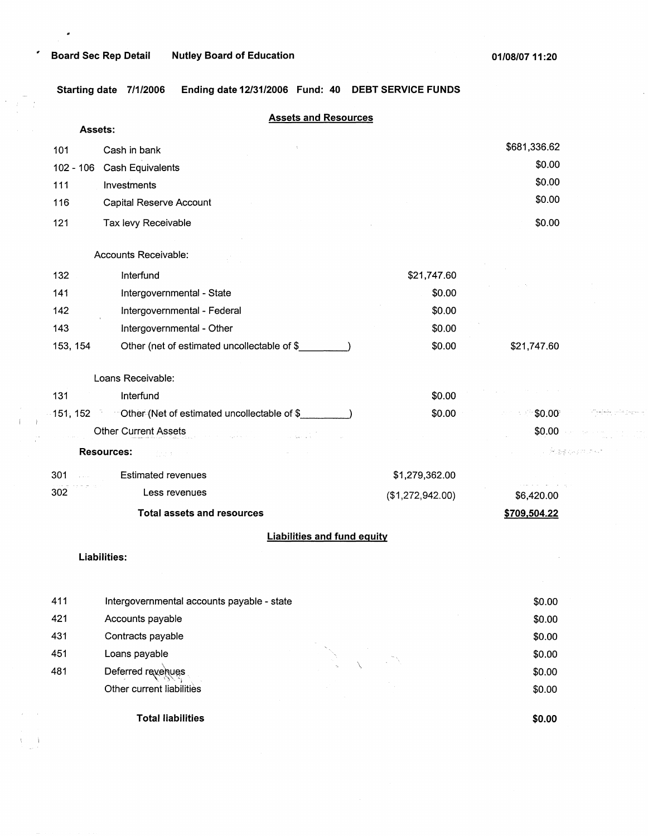$\bullet$ 

 $\label{eq:3.1} \begin{pmatrix} \frac{1}{\sqrt{2}} & \frac{1}{\sqrt{2}} \\ \frac{1}{\sqrt{2}} & \frac{1}{\sqrt{2}} \end{pmatrix}$ 

 $\left( \begin{array}{cc} 1 & 1 \\ 1 & 1 \end{array} \right)$ 

 $\alpha_{\rm{max}}$ 

 $\lambda=1$ 

**Starting date 7/1/2006 Ending date 12/31/2006 Fund: 40 DEBT SERVICE FUNDS** 

|             | <b>Assets and Resources</b><br>Assets:                         |                  |                  |
|-------------|----------------------------------------------------------------|------------------|------------------|
| 101         | Cash in bank                                                   |                  | \$681,336.62     |
| $102 - 106$ | Cash Equivalents                                               |                  | \$0.00           |
| 111         | Investments                                                    |                  | \$0.00           |
| 116         | Capital Reserve Account                                        |                  | \$0.00           |
| 121         | Tax levy Receivable                                            |                  | \$0.00           |
|             | Accounts Receivable:                                           |                  |                  |
| 132         | Interfund                                                      | \$21,747.60      |                  |
| 141         | Intergovernmental - State                                      | \$0.00           |                  |
| 142         | Intergovernmental - Federal                                    | \$0.00           |                  |
| 143         | Intergovernmental - Other                                      | \$0.00           |                  |
| 153, 154    | Other (net of estimated uncollectable of \$                    | \$0.00           | \$21,747.60      |
|             | Loans Receivable:                                              |                  |                  |
| 131         | Interfund                                                      | \$0.00           |                  |
|             | 151, 152 Cther (Net of estimated uncollectable of \$           | \$0.00           | \$0.00           |
|             | <b>Other Current Assets</b>                                    |                  | \$0.00           |
|             | <b>Resources:</b><br>Profile                                   |                  | - 2025           |
| 301         | <b>Estimated revenues</b>                                      | \$1,279,362.00   |                  |
| 302         | Less revenues                                                  | (\$1,272,942.00) | \$6,420.00       |
|             | <b>Total assets and resources</b>                              |                  | \$709,504.22     |
|             | <b>Liabilities and fund equity</b>                             |                  |                  |
|             | Liabilities:                                                   |                  |                  |
|             |                                                                |                  |                  |
| 411<br>421  | Intergovernmental accounts payable - state<br>Accounts payable |                  | \$0.00<br>\$0.00 |
| 431         | Contracts payable                                              |                  | \$0.00           |
| 451         | Loans payable                                                  |                  | \$0.00           |
| 481         | Deferred revenues                                              |                  | \$0.00           |
|             | Other current liabilities                                      |                  | \$0.00           |
|             |                                                                |                  |                  |

**Total liabilities** 

**\$0.00** 

**Spiele**, sie besch

 $\label{eq:2.1} \mathcal{O}(\tau) = \left\{ \mathcal{O}(\tau) \,:\, \mathcal{O}(\tau) \,:\, \mathcal{O}(\tau) \,:\, \mathcal{O}(\tau) \,:\, \mathcal{O}(\tau) \,:\, \mathcal{O}(\tau) \right\}$ 

الحلمان فعولاتها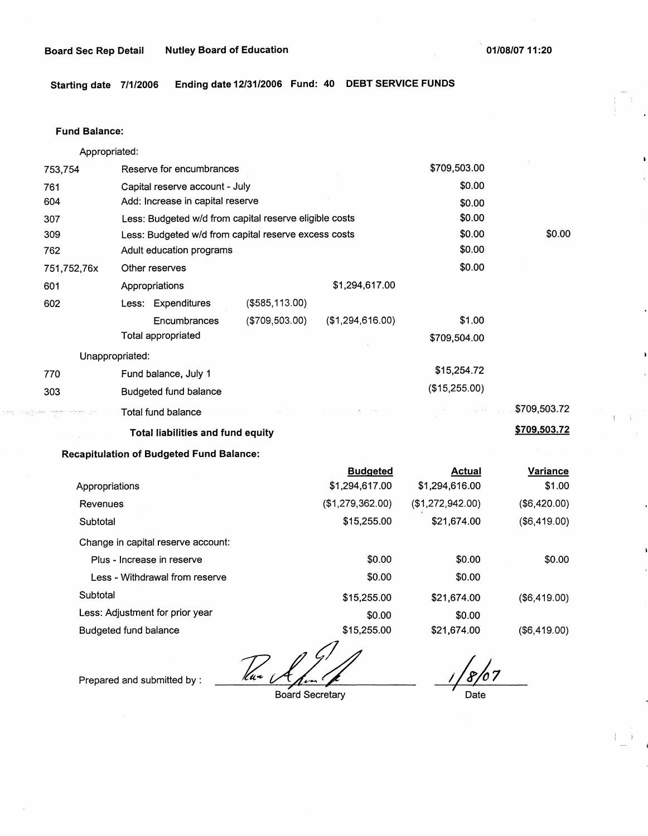$\rightarrow$  )

**Starting date 7/1/2006 Ending date 12/31/2006 Fund: 40 DEBT SERVICE FUNDS** 

#### **Fund Balance:**

나는 아이들이

Appropriated:

| 753,754                       | Reserve for encumbrances                               |                                   | \$709,503.00                    |                    |
|-------------------------------|--------------------------------------------------------|-----------------------------------|---------------------------------|--------------------|
| 761                           | Capital reserve account - July                         |                                   | \$0.00                          |                    |
| 604                           | Add: Increase in capital reserve                       |                                   | \$0.00                          |                    |
| 307                           | Less: Budgeted w/d from capital reserve eligible costs |                                   | \$0.00                          |                    |
| 309                           | Less: Budgeted w/d from capital reserve excess costs   |                                   | \$0.00                          | \$0.00             |
| 762                           | Adult education programs                               |                                   | \$0.00                          |                    |
| 751,752,76x                   | Other reserves                                         |                                   | \$0.00                          |                    |
| 601                           | Appropriations                                         | \$1,294,617.00                    |                                 |                    |
| 602                           | Less: Expenditures<br>$($ \$585,113.00)                |                                   |                                 |                    |
|                               | (\$709,503.00)<br>Encumbrances                         | (\$1,294,616.00)                  | \$1.00                          |                    |
|                               | Total appropriated                                     |                                   | \$709,504.00                    |                    |
| Unappropriated:               |                                                        |                                   |                                 |                    |
| 770                           | Fund balance, July 1                                   |                                   | \$15,254.72                     |                    |
| 303                           | <b>Budgeted fund balance</b>                           |                                   | (\$15,255.00)                   |                    |
| الدوار المعرفات المقوسات ليفو | Total fund balance                                     |                                   | in Linda Barning                | \$709,503.72       |
|                               | <b>Total liabilities and fund equity</b>               |                                   |                                 | \$709,503.72       |
|                               | <b>Recapitulation of Budgeted Fund Balance:</b>        |                                   |                                 |                    |
| Appropriations                |                                                        | <b>Budgeted</b><br>\$1,294,617.00 | <b>Actual</b><br>\$1,294,616.00 | Variance<br>\$1.00 |
| Revenues                      |                                                        | (\$1,279,362.00)                  | (\$1,272,942.00)                | (\$6,420.00)       |
| Subtotal                      |                                                        | \$15,255.00                       | \$21,674.00                     | (\$6,419.00)       |
|                               |                                                        |                                   |                                 |                    |
|                               | Change in capital reserve account:                     |                                   |                                 |                    |

| Plus - Increase in reserve      | \$0.00      | \$0.00      | \$0.00       |
|---------------------------------|-------------|-------------|--------------|
| Less - Withdrawal from reserve  | \$0.00      | \$0.00      |              |
| Subtotal                        | \$15,255.00 | \$21,674,00 | (\$6,419.00) |
| Less: Adjustment for prior year | \$0.00      | \$0.00      |              |
| Budgeted fund balance           | \$15,255.00 | \$21,674.00 | (\$6,419.00) |

Thur i

Prepared and submitted by :

**7**  Board Secretary

107 *l*  Date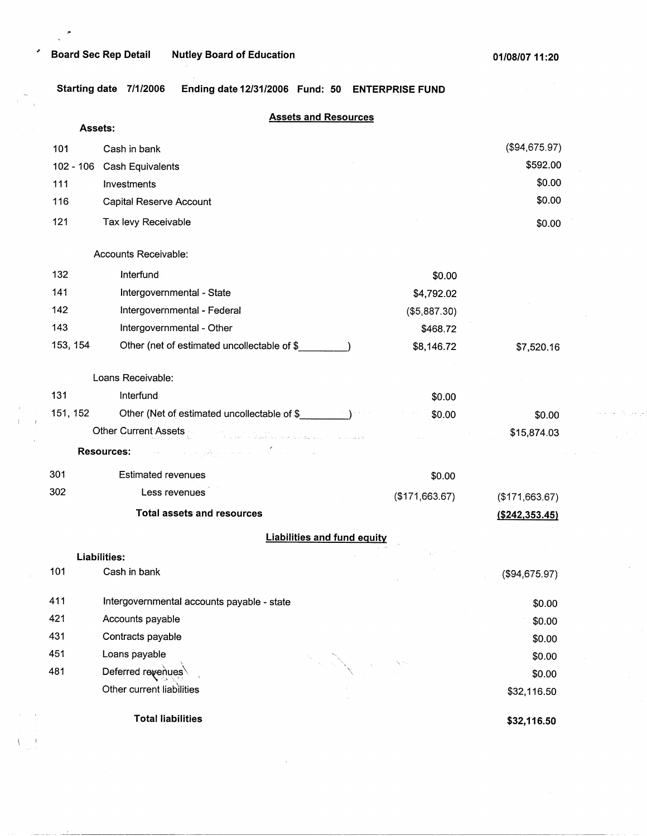..

المواجبينية

**Starting date 7/1/2006 Ending date 12/31/2006 Fund: 50 ENTERPRISE FUND** 

|             |                                                                                                                                                                                                                       | <b>Assets and Resources</b>        |                   |
|-------------|-----------------------------------------------------------------------------------------------------------------------------------------------------------------------------------------------------------------------|------------------------------------|-------------------|
|             | Assets:                                                                                                                                                                                                               |                                    |                   |
| 101         | Cash in bank                                                                                                                                                                                                          |                                    | (\$94,675.97)     |
| $102 - 106$ | <b>Cash Equivalents</b>                                                                                                                                                                                               |                                    | \$592.00          |
| 111         | Investments                                                                                                                                                                                                           |                                    | \$0.00            |
| 116         | Capital Reserve Account                                                                                                                                                                                               |                                    | \$0.00            |
| 121         | Tax levy Receivable                                                                                                                                                                                                   |                                    | \$0.00            |
|             | Accounts Receivable:                                                                                                                                                                                                  |                                    |                   |
| 132         | Interfund                                                                                                                                                                                                             | \$0.00                             |                   |
| 141         | Intergovernmental - State                                                                                                                                                                                             | \$4,792.02                         |                   |
| 142         | Intergovernmental - Federal                                                                                                                                                                                           | (\$5,887.30)                       |                   |
| 143         | Intergovernmental - Other                                                                                                                                                                                             | \$468.72                           |                   |
| 153, 154    | Other (net of estimated uncollectable of \$                                                                                                                                                                           | \$8,146.72                         | \$7,520.16        |
|             | Loans Receivable:                                                                                                                                                                                                     |                                    |                   |
| 131         | Interfund                                                                                                                                                                                                             | \$0.00                             |                   |
| 151, 152    | Other (Net of estimated uncollectable of \$                                                                                                                                                                           | \$0.00                             | \$0.00            |
|             | Other Current Assets<br>a sa mara na matangana na katalog na katalog na kalayang kalayang matangang.<br>Tanggal na katalog sa kalayang pangalang na kalayang manang kalayang na mangalang na kalayang na mangalang na |                                    | \$15,874.03       |
|             | <b>Resources:</b>                                                                                                                                                                                                     |                                    |                   |
| 301         | <b>Estimated revenues</b>                                                                                                                                                                                             | \$0.00                             |                   |
| 302         | Less revenues                                                                                                                                                                                                         | (\$171,663.67)                     | (\$171,663.67)    |
|             | <b>Total assets and resources</b>                                                                                                                                                                                     |                                    | $($ \$242,353.45) |
|             |                                                                                                                                                                                                                       | <b>Liabilities and fund equity</b> |                   |
|             | Liabilities:                                                                                                                                                                                                          |                                    |                   |
| 101         | Cash in bank                                                                                                                                                                                                          |                                    | (\$94,675.97)     |
| 411         | Intergovernmental accounts payable - state                                                                                                                                                                            |                                    | \$0.00            |
| 421         | Accounts payable                                                                                                                                                                                                      |                                    | \$0.00            |
| 431         | Contracts payable                                                                                                                                                                                                     |                                    | \$0.00            |
| 451         | Loans payable                                                                                                                                                                                                         |                                    | \$0.00            |
| 481         | Deferred revenues                                                                                                                                                                                                     |                                    | \$0.00            |
|             | Other current liabilities                                                                                                                                                                                             |                                    | \$32,116.50       |
|             | <b>Total liabilities</b>                                                                                                                                                                                              |                                    | \$32,116.50       |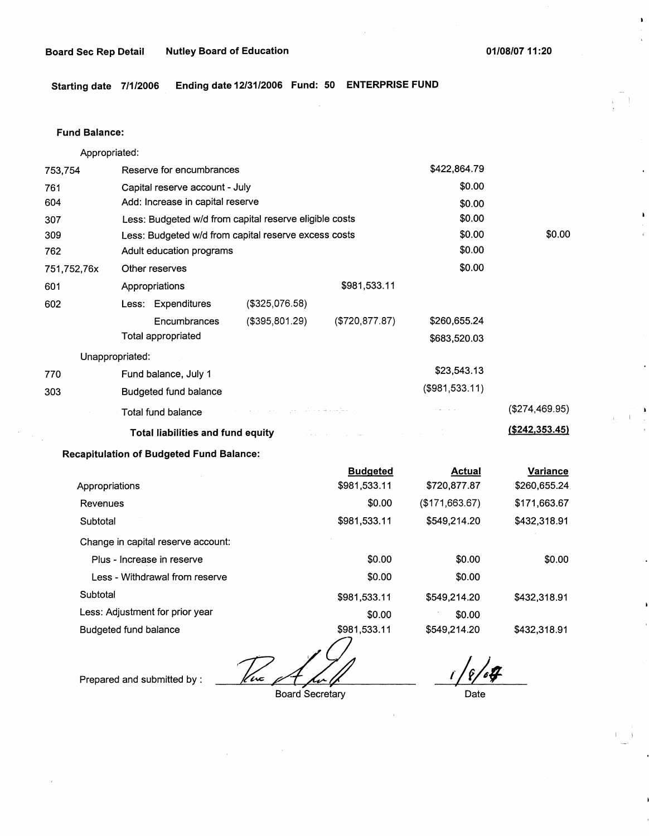í.

**Starting date 7/1/2006 Ending date 12/31/2006 Fund: 50 ENTERPRISE FUND** 

#### **Fund Balance:**

Appropriated:

| 753,754        | Reserve for encumbrances                                                                                                                                                                                                            |                                                        |                 | \$422,864.79   |                 |
|----------------|-------------------------------------------------------------------------------------------------------------------------------------------------------------------------------------------------------------------------------------|--------------------------------------------------------|-----------------|----------------|-----------------|
| 761            | Capital reserve account - July                                                                                                                                                                                                      |                                                        |                 | \$0.00         |                 |
| 604            |                                                                                                                                                                                                                                     | Add: Increase in capital reserve                       |                 |                |                 |
| 307            |                                                                                                                                                                                                                                     | Less: Budgeted w/d from capital reserve eligible costs |                 |                |                 |
| 309            | Less: Budgeted w/d from capital reserve excess costs                                                                                                                                                                                |                                                        |                 | \$0.00         | \$0.00          |
| 762            | Adult education programs                                                                                                                                                                                                            |                                                        |                 | \$0.00         |                 |
| 751,752,76x    | Other reserves                                                                                                                                                                                                                      |                                                        |                 | \$0.00         |                 |
| 601            | Appropriations                                                                                                                                                                                                                      |                                                        | \$981,533.11    |                |                 |
| 602            | Less: Expenditures                                                                                                                                                                                                                  | $($ \$325,076.58)                                      |                 |                |                 |
|                | Encumbrances                                                                                                                                                                                                                        | (\$395,801.29)                                         | (\$720, 877.87) | \$260,655.24   |                 |
|                | Total appropriated                                                                                                                                                                                                                  |                                                        |                 | \$683,520.03   |                 |
|                | Unappropriated:                                                                                                                                                                                                                     |                                                        |                 |                |                 |
| 770            | Fund balance, July 1                                                                                                                                                                                                                |                                                        |                 | \$23,543.13    |                 |
| 303            | Budgeted fund balance                                                                                                                                                                                                               |                                                        |                 | (\$981,533.11) |                 |
|                | Total fund balance                                                                                                                                                                                                                  | المستقطع فللمعاقب والمرادي والمرادي والمرادات          |                 |                | (\$274,469.95)  |
|                | <b>Total liabilities and fund equity</b> the contract of the contract of the contract of the contract of the contract of the contract of the contract of the contract of the contract of the contract of the contract of the contra |                                                        |                 |                | (\$242,353.45)  |
|                | <b>Recapitulation of Budgeted Fund Balance:</b>                                                                                                                                                                                     |                                                        |                 |                |                 |
|                |                                                                                                                                                                                                                                     |                                                        | <b>Budgeted</b> | <b>Actual</b>  | <b>Variance</b> |
| Appropriations |                                                                                                                                                                                                                                     |                                                        | \$981,533.11    | \$720,877.87   | \$260,655.24    |
| Revenues       |                                                                                                                                                                                                                                     |                                                        | \$0.00          | (\$171,663.67) | \$171,663.67    |
| Subtotal       |                                                                                                                                                                                                                                     |                                                        | \$981,533.11    | \$549,214.20   | \$432,318.91    |

Change in capital reserve account: Plus - Increase in reserve Less - Withdrawal from reserve **Subtotal** Less: Adjustment for prior year Budgeted fund balance \$0.00 \$0.00 \$0.00 \$0.00 \$981,533.11 \$549,214.20 \$0.00 \$0.00 \$981,533.11 \$549,214.20 \$0.00 \$432,318.91 \$432,318.91

Prepared and submitted by : *124 Am 10-10*<br>Board Secretary Date

Board Secretary **Date** 

 $\overline{r}$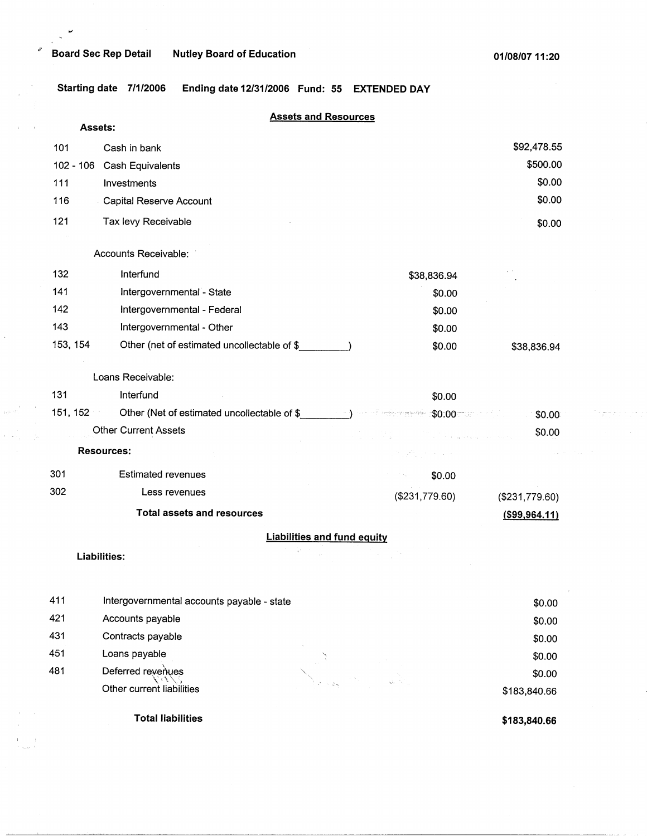## "' **Board Sec Rep Detail Nutley Board of Education**

 $\sim$   $^{\prime}$  $\mathbf{r}$ 

**Starting date 7/1/2006 Ending date 12/31/2006 Fund: 55 EXTENDED DAY** 

|             |                                                        | <b>Assets and Resources</b>                                               |
|-------------|--------------------------------------------------------|---------------------------------------------------------------------------|
|             | Assets:                                                |                                                                           |
| 101         | Cash in bank                                           | \$92,478.55                                                               |
| $102 - 106$ | Cash Equivalents                                       | \$500.00                                                                  |
| 111         | Investments                                            | \$0.00                                                                    |
| 116         | Capital Reserve Account                                | \$0.00                                                                    |
| 121         | Tax levy Receivable                                    | \$0.00                                                                    |
|             | Accounts Receivable:                                   |                                                                           |
| 132         | Interfund                                              | \$38,836.94                                                               |
| 141         | Intergovernmental - State                              | \$0.00                                                                    |
| 142         | Intergovernmental - Federal                            | \$0.00                                                                    |
| 143         | Intergovernmental - Other                              | \$0.00                                                                    |
| 153, 154    | Other (net of estimated uncollectable of \$__________) | \$0.00<br>\$38,836.94                                                     |
|             | Loans Receivable:                                      |                                                                           |
| 131         | Interfund                                              | \$0.00                                                                    |
|             | 151, 152                                               | Other (Net of estimated uncollectable of \$<br>\$0.00                     |
|             | <b>Other Current Assets</b>                            | \$0.00<br>en en 1950.<br>1960 - El de Salvador de La Correlativa en 1960. |
|             | <b>Resources:</b>                                      |                                                                           |
| 301         | <b>Estimated revenues</b>                              | \$0.00                                                                    |
| 302         | Less revenues                                          | (\$231,779.60)<br>(\$231,779.60)                                          |
|             | <b>Total assets and resources</b>                      | $($ \$99,964.11)                                                          |
|             |                                                        | <b>Liabilities and fund equity</b>                                        |
|             | Liabilities:                                           |                                                                           |
|             |                                                        |                                                                           |
| 411         | Intergovernmental accounts payable - state             | \$0.00                                                                    |
| 421         | Accounts payable                                       | \$0.00                                                                    |
| 431         | Contracts payable                                      | \$0.00                                                                    |
| 451         | Loans payable                                          | \$0.00                                                                    |
| 481         | Deferred revenues                                      | \$0.00                                                                    |
|             | Other current liabilities                              | \$183,840.66                                                              |

**Total liabilities** 

**\$183,840.66** 

\$183,840.66